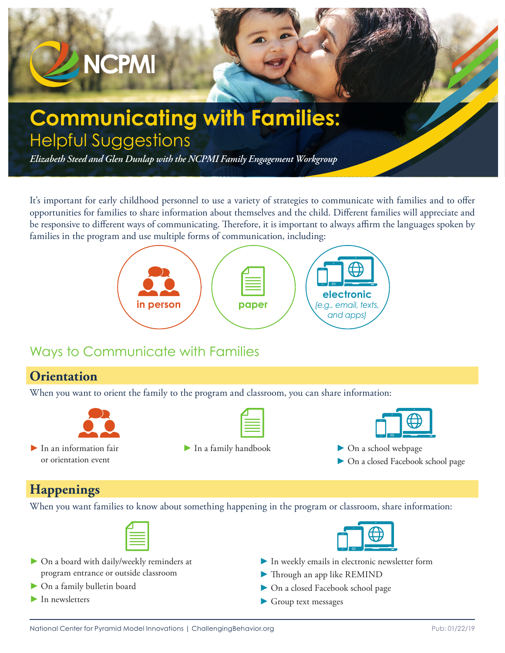

It's important for early childhood personnel to use a variety of strategies to communicate with families and to offer opportunities for families to share information about themselves and the child. Different families will appreciate and be responsive to different ways of communicating. Therefore, it is important to always affirm the languages spoken by families in the program and use multiple forms of communication, including:



# Ways to Communicate with Families

### **Orientation**

When you want to orient the family to the program and classroom, you can share information:



| $\blacktriangleright$ In an information fair |
|----------------------------------------------|
| or orientation event                         |

► In a family handbook ► On a school webpage



- 
- ► On a closed Facebook school page

## **Happenings**

When you want families to know about something happening in the program or classroom, share information:

- ► On a board with daily/weekly reminders at program entrance or outside classroom
- ► On a family bulletin board
- $\blacktriangleright$  In newsletters
- ► In weekly emails in electronic newsletter form
- ► Through an app like REMIND
- ► On a closed Facebook school page
- ► Group text messages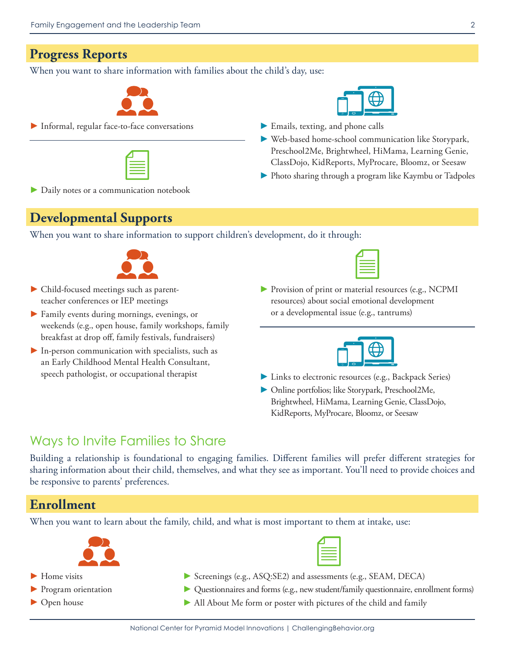#### **Progress Reports**

When you want to share information with families about the child's day, use:



► Informal, regular face-to-face conversations





- ► Emails, texting, and phone calls
- ► Web-based home-school communication like Storypark, Preschool2Me, Brightwheel, HiMama, Learning Genie, ClassDojo, KidReports, MyProcare, Bloomz, or Seesaw
- ► Photo sharing through a program like Kaymbu or Tadpoles

► Daily notes or a communication notebook

#### **Developmental Supports**

When you want to share information to support children's development, do it through:



- ► Child-focused meetings such as parentteacher conferences or IEP meetings
- ► Family events during mornings, evenings, or weekends (e.g., open house, family workshops, family breakfast at drop off, family festivals, fundraisers)
- $\blacktriangleright$  In-person communication with specialists, such as an Early Childhood Mental Health Consultant, speech pathologist, or occupational therapist

► Provision of print or material resources (e.g., NCPMI resources) about social emotional development or a developmental issue (e.g., tantrums)



- ► Links to electronic resources (e.g., Backpack Series)
- ► Online portfolios; like Storypark, Preschool2Me, Brightwheel, HiMama, Learning Genie, ClassDojo, KidReports, MyProcare, Bloomz, or Seesaw

## Ways to Invite Families to Share

Building a relationship is foundational to engaging families. Different families will prefer different strategies for sharing information about their child, themselves, and what they see as important. You'll need to provide choices and be responsive to parents' preferences.

## **Enrollment**

When you want to learn about the family, child, and what is most important to them at intake, use:



- ► Home visits
- ► Program orientation
- ► Open house
- ► Screenings (e.g., ASQ:SE2) and assessments (e.g., SEAM, DECA)
- ► Questionnaires and forms (e.g., new student/family questionnaire, enrollment forms)
- ▶ All About Me form or poster with pictures of the child and family